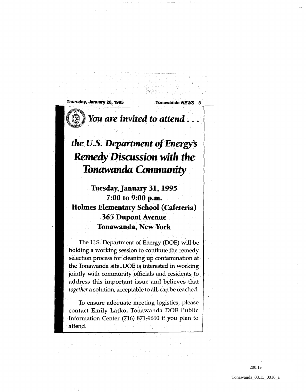Thursday, January 26, 1995 Tonawanda NEWS 3



You are *invited* to attend

## *the, u.s. Department of* Energy's Remedy Discussion with *the Tonawanda Community,*

Tuesday, January 31, 1995 7:00 to 9:00 p.m. Holmes Elementary School (Cafeteria) ,365 Dupont Avenue Tonawanda, New York

The U.S. Department of Energy (DOE) will be holding a working session to continue the remedy selection process for cleaning up contamination at the Tonawanda site. DOE is interested in working jointly with community officials and residents to , address this important issue and believes that *together* a solution, acceptable to all, can be reached.

To ensure adequate meeting logistics, please contact Emily Latko, Tonawanda DOE Public Information Center  $(716)$  871-9660 if you plan to attend.